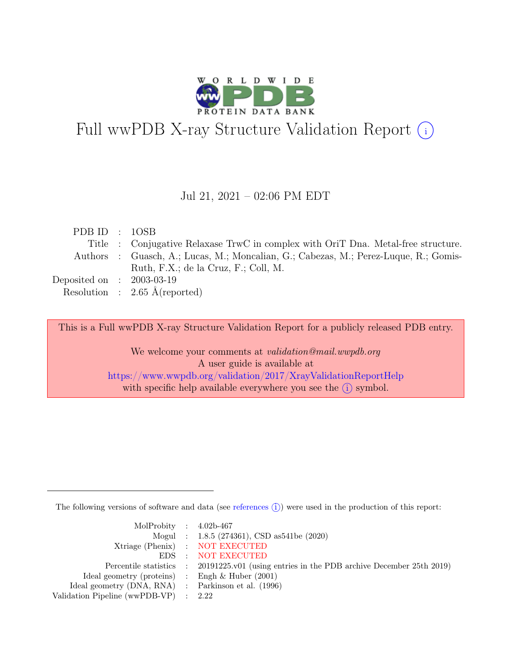

# Full wwPDB X-ray Structure Validation Report  $(i)$

#### Jul 21, 2021 – 02:06 PM EDT

| PDB ID : $10SB$             |                                                                                      |
|-----------------------------|--------------------------------------------------------------------------------------|
|                             | Title : Conjugative Relaxase TrwC in complex with OriT Dna. Metal-free structure.    |
|                             | Authors : Guasch, A.; Lucas, M.; Moncalian, G.; Cabezas, M.; Perez-Luque, R.; Gomis- |
|                             | Ruth, F.X.; de la Cruz, F.; Coll, M.                                                 |
| Deposited on : $2003-03-19$ |                                                                                      |
|                             | Resolution : $2.65 \text{ Å}$ (reported)                                             |

This is a Full wwPDB X-ray Structure Validation Report for a publicly released PDB entry.

We welcome your comments at validation@mail.wwpdb.org A user guide is available at <https://www.wwpdb.org/validation/2017/XrayValidationReportHelp> with specific help available everywhere you see the  $(i)$  symbol.

The following versions of software and data (see [references](https://www.wwpdb.org/validation/2017/XrayValidationReportHelp#references)  $\hat{I}$ ) were used in the production of this report:

| MolProbity : $4.02b-467$                            |                                                                                            |
|-----------------------------------------------------|--------------------------------------------------------------------------------------------|
|                                                     | Mogul : $1.8.5$ (274361), CSD as 541be (2020)                                              |
|                                                     | Xtriage (Phenix) : NOT EXECUTED                                                            |
|                                                     | EDS : NOT EXECUTED                                                                         |
|                                                     | Percentile statistics : 20191225.v01 (using entries in the PDB archive December 25th 2019) |
| Ideal geometry (proteins) : Engh $\&$ Huber (2001)  |                                                                                            |
| Ideal geometry (DNA, RNA) : Parkinson et al. (1996) |                                                                                            |
| Validation Pipeline (wwPDB-VP) $\therefore$ 2.22    |                                                                                            |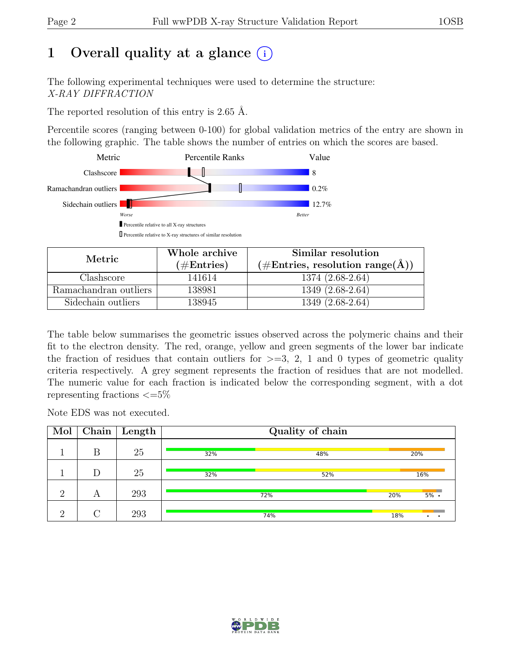# 1 Overall quality at a glance  $(i)$

The following experimental techniques were used to determine the structure: X-RAY DIFFRACTION

The reported resolution of this entry is 2.65 Å.

Percentile scores (ranging between 0-100) for global validation metrics of the entry are shown in the following graphic. The table shows the number of entries on which the scores are based.



| Metric.               | Whole archive        | Similar resolution                                                  |
|-----------------------|----------------------|---------------------------------------------------------------------|
|                       | $(\#\text{Entries})$ | $(\# \text{Entries}, \text{ resolution range}(\text{\AA})^{\circ})$ |
| Clashscore            | 141614               | 1374 (2.68-2.64)                                                    |
| Ramachandran outliers | 138981               | $1349(2.68-2.64)$                                                   |
| Sidechain outliers    | 138945               | 1349 (2.68-2.64)                                                    |

The table below summarises the geometric issues observed across the polymeric chains and their fit to the electron density. The red, orange, yellow and green segments of the lower bar indicate the fraction of residues that contain outliers for  $\geq=3$ , 2, 1 and 0 types of geometric quality criteria respectively. A grey segment represents the fraction of residues that are not modelled. The numeric value for each fraction is indicated below the corresponding segment, with a dot representing fractions  $\epsilon = 5\%$ 

Note EDS was not executed.

| Mol      |   | $\overline{\text{Chain}}$ Length |     | Quality of chain |     |         |
|----------|---|----------------------------------|-----|------------------|-----|---------|
|          | В | 25                               | 32% | 48%              |     | 20%     |
|          | D | 25                               | 32% | 52%              |     | 16%     |
| റ        | А | 293                              |     | 72%              | 20% | $5\%$ . |
| $\Omega$ |   | 293                              |     | 74%              | 18% |         |

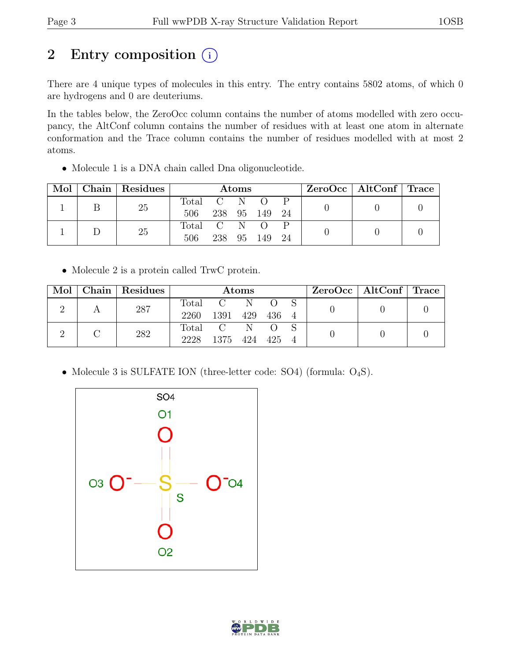# 2 Entry composition  $(i)$

There are 4 unique types of molecules in this entry. The entry contains 5802 atoms, of which 0 are hydrogens and 0 are deuteriums.

In the tables below, the ZeroOcc column contains the number of atoms modelled with zero occupancy, the AltConf column contains the number of residues with at least one atom in alternate conformation and the Trace column contains the number of residues modelled with at most 2 atoms.

• Molecule 1 is a DNA chain called Dna oligonucleotide.

| Mol | Chain | Residues | Atoms     |       |    |        |    |  | ZeroOcc   AltConf   Trace |  |
|-----|-------|----------|-----------|-------|----|--------|----|--|---------------------------|--|
|     |       | 25       | Total     | $C-N$ |    |        |    |  |                           |  |
|     |       |          | 506       | 238   |    | 95 149 | 24 |  |                           |  |
|     |       | 25       | Total C N |       |    |        |    |  |                           |  |
|     |       |          | 506       | 238   | 95 | 149    |    |  |                           |  |

• Molecule 2 is a protein called TrwC protein.

|  | Mol   Chain   Residues | Atoms |                     |  |                  | ZeroOcc   AltConf   Trace |  |  |
|--|------------------------|-------|---------------------|--|------------------|---------------------------|--|--|
|  | 287                    |       | Total C N           |  | $\overline{O}$ S |                           |  |  |
|  |                        | 2260  | 1391 429 436 4      |  |                  |                           |  |  |
|  | 282                    |       | Total C N O         |  |                  |                           |  |  |
|  |                        |       | 2228 1375 424 425 4 |  |                  |                           |  |  |

• Molecule 3 is SULFATE ION (three-letter code: SO4) (formula:  $O_4S$ ).



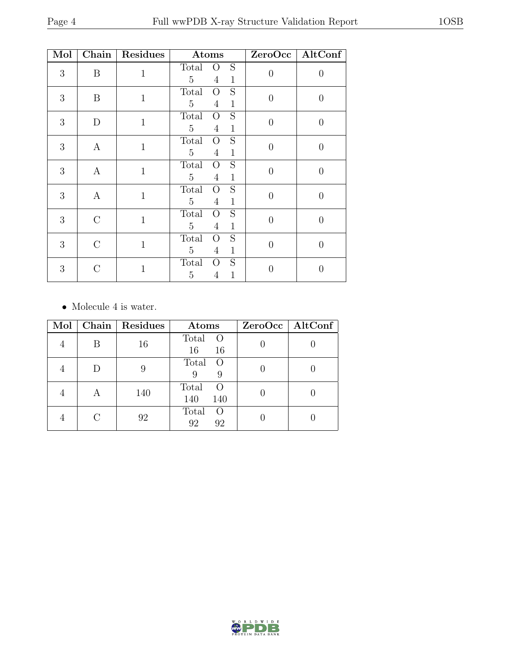| Mol | Chain            | Residues     | Atoms                                                                            |                | ZeroOcc   AltConf |
|-----|------------------|--------------|----------------------------------------------------------------------------------|----------------|-------------------|
| 3   | B                | $\mathbf{1}$ | S<br>Total<br>$\overline{O}$<br>$\overline{5}$<br>$\overline{4}$<br>$\mathbf{1}$ | $\overline{0}$ | $\overline{0}$    |
| 3   | B                | $\mathbf{1}$ | S<br>Total<br>$\Omega$<br>$\overline{5}$<br>$\overline{4}$<br>$\mathbf{1}$       | $\overline{0}$ | $\overline{0}$    |
| 3   | D                | $\mathbf{1}$ | S<br>Total<br>$\Omega$<br>$\overline{5}$<br>$\overline{4}$<br>$\mathbf{1}$       | $\overline{0}$ | $\overline{0}$    |
| 3   | $\mathbf{A}$     | $\mathbf{1}$ | S<br>Total<br>$\Omega$<br>$\overline{5}$<br>$\overline{4}$<br>$\mathbf{1}$       | $\overline{0}$ | $\overline{0}$    |
| 3   | $\boldsymbol{A}$ | $\mathbf{1}$ | S<br>Total<br>$\overline{O}$<br>$\overline{5}$<br>$\overline{4}$<br>$\mathbf{1}$ | $\overline{0}$ | $\overline{0}$    |
| 3   | $\mathbf{A}$     | $\mathbf{1}$ | S<br>Total<br>$\overline{O}$<br>$\overline{5}$<br>$\overline{4}$<br>$\mathbf{1}$ | $\overline{0}$ | $\theta$          |
| 3   | $\rm C$          | $\mathbf{1}$ | S<br>Total<br>$\rm{O}$<br>$\overline{5}$<br>$\overline{4}$<br>$\mathbf{1}$       | $\overline{0}$ | $\theta$          |
| 3   | $\mathcal{C}$    | $\mathbf{1}$ | S<br>Total<br>$\rm{O}$<br>$\overline{5}$<br>$\mathbf 1$<br>$\overline{4}$        | $\overline{0}$ | $\overline{0}$    |
| 3   | $\rm C$          | $\mathbf{1}$ | $\mathbf S$<br>Total<br>O<br>$\overline{5}$<br>1<br>4                            | $\overline{0}$ | $\mathbf{0}$      |

 $\bullet\,$  Molecule 4 is water.

| Mol |   | Chain   Residues | Atoms                                   | ZeroOcc   AltConf |
|-----|---|------------------|-----------------------------------------|-------------------|
|     | В | 16               | Total<br>$\circ$<br>16<br>16            |                   |
|     |   | 9                | Total<br>$\overline{O}$<br>9<br>9       |                   |
|     |   | 140              | Total<br>$\left( \right)$<br>140<br>140 |                   |
|     |   | 92               | Total<br>$\left( \right)$<br>92<br>92   |                   |

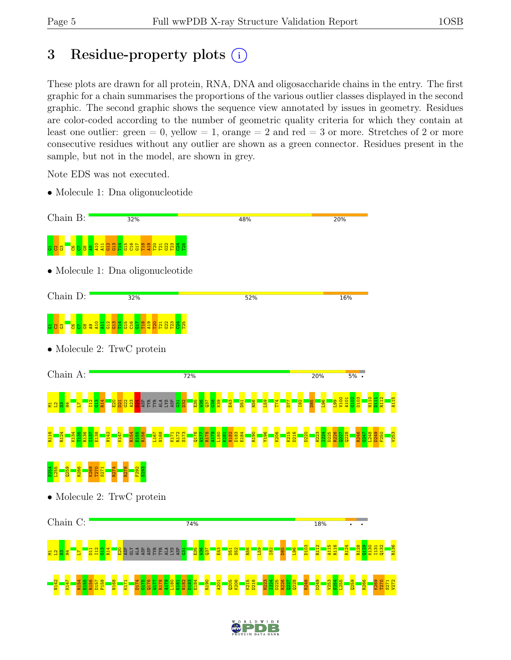# 3 Residue-property plots  $(i)$

These plots are drawn for all protein, RNA, DNA and oligosaccharide chains in the entry. The first graphic for a chain summarises the proportions of the various outlier classes displayed in the second graphic. The second graphic shows the sequence view annotated by issues in geometry. Residues are color-coded according to the number of geometric quality criteria for which they contain at least one outlier: green  $= 0$ , yellow  $= 1$ , orange  $= 2$  and red  $= 3$  or more. Stretches of 2 or more consecutive residues without any outlier are shown as a green connector. Residues present in the sample, but not in the model, are shown in grey.

Note EDS was not executed.

• Molecule 1: Dna oligonucleotide





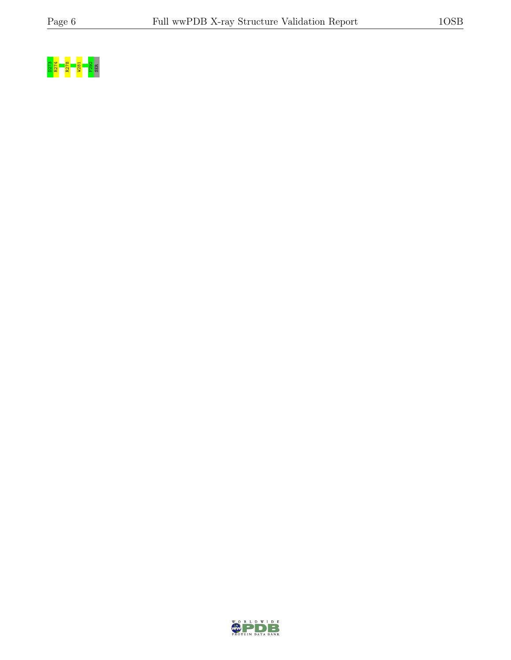

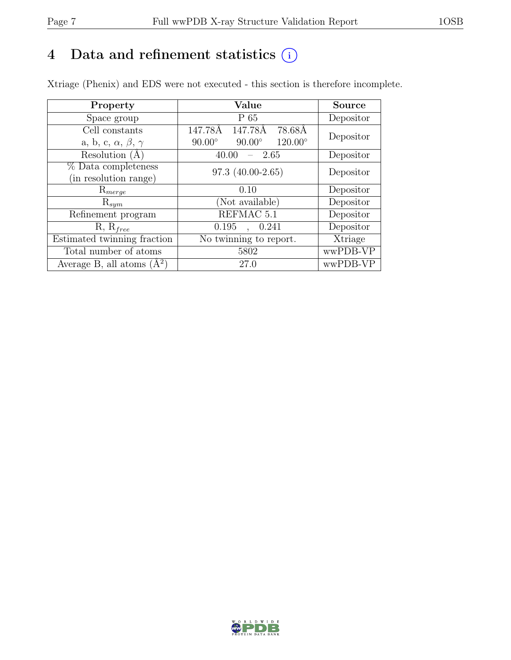# 4 Data and refinement statistics  $(i)$

Xtriage (Phenix) and EDS were not executed - this section is therefore incomplete.

| Property                               | Value                                            | <b>Source</b> |  |
|----------------------------------------|--------------------------------------------------|---------------|--|
| Space group                            | $P_65$                                           | Depositor     |  |
| Cell constants                         | $\overline{147.78}$ Å<br>147.78Å<br>78.68Å       | Depositor     |  |
| a, b, c, $\alpha$ , $\beta$ , $\gamma$ | $120.00^\circ$<br>$90.00^\circ$<br>$90.00^\circ$ |               |  |
| Resolution (A                          | - 2.65<br>40.00                                  | Depositor     |  |
| % Data completeness                    | $97.3(40.00-2.65)$                               | Depositor     |  |
| (in resolution range)                  |                                                  |               |  |
| $\mathrm{R}_{merge}$                   | 0.10                                             | Depositor     |  |
| $\mathrm{R}_{sym}$                     | (Not available)                                  | Depositor     |  |
| Refinement program                     | REFMAC 5.1                                       | Depositor     |  |
| $R, R_{free}$                          | 0.195<br>0.241<br>$\ddot{\phantom{a}}$           | Depositor     |  |
| Estimated twinning fraction            | $\overline{\text{No}}$ twinning to report.       | Xtriage       |  |
| Total number of atoms                  | 5802                                             | wwPDB-VP      |  |
| Average B, all atoms $(A^2)$           | 27.0                                             | wwPDB-VP      |  |

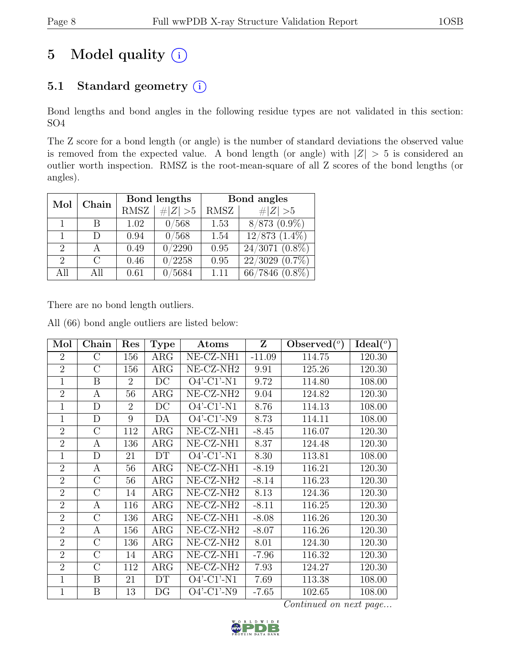# 5 Model quality  $(i)$

### 5.1 Standard geometry  $(i)$

Bond lengths and bond angles in the following residue types are not validated in this section: SO4

The Z score for a bond length (or angle) is the number of standard deviations the observed value is removed from the expected value. A bond length (or angle) with  $|Z| > 5$  is considered an outlier worth inspection. RMSZ is the root-mean-square of all Z scores of the bond lengths (or angles).

| Mol                         | Chain     |      | Bond lengths        | Bond angles |                     |  |
|-----------------------------|-----------|------|---------------------|-------------|---------------------|--|
|                             |           | RMSZ | $\# Z  > 5$         | RMSZ        | $\ Z\  > 5$         |  |
|                             | В         | 1.02 | 0/568               | 1.53        | $8/873$ $(0.9\%)$   |  |
|                             | D         | 0.94 | 0/568               | 1.54        | $12/873(1.4\%)$     |  |
| $\overline{2}$              |           | 0.49 | 0/2290              | 0.95        | $24/3071$ $(0.8\%)$ |  |
| $\mathcal{D}_{\mathcal{L}}$ | $\bigcap$ | 0.46 | $\overline{0/2258}$ | 0.95        | $22/3029$ $(0.7\%)$ |  |
| All                         | All       | 0.61 | /5684               | 1.11        | $66/7846$ $(0.8\%)$ |  |

There are no bond length outliers.

All (66) bond angle outliers are listed below:

| Mol            | Chain            | Res            | <b>Type</b> | Atoms                 | Z        | Observed $(°)$ | Ideal $(^\circ)$ |
|----------------|------------------|----------------|-------------|-----------------------|----------|----------------|------------------|
| $\overline{2}$ | $\rm C$          | 156            | ARG         | NE-CZ-NH1             | $-11.09$ | 114.75         | 120.30           |
| $\overline{2}$ | $\overline{C}$   | 156            | ARG         | NE-CZ-NH <sub>2</sub> | 9.91     | 125.26         | 120.30           |
| $\mathbf{1}$   | B                | $\overline{2}$ | DC          | $O4'$ -C1'-N1         | 9.72     | 114.80         | 108.00           |
| $\overline{2}$ | $\boldsymbol{A}$ | 56             | <b>ARG</b>  | NE-CZ-NH <sub>2</sub> | 9.04     | 124.82         | 120.30           |
| $\mathbf 1$    | D                | $\overline{2}$ | DC          | $O4'$ -C1'-N1         | 8.76     | 114.13         | 108.00           |
| $\overline{1}$ | D                | 9              | DA          | $O4'$ -C1'-N9         | 8.73     | 114.11         | 108.00           |
| $\overline{2}$ | C                | 112            | $\rm{ARG}$  | NE-CZ-NH1             | $-8.45$  | 116.07         | 120.30           |
| $\overline{2}$ | A                | 136            | $\rm{ARG}$  | NE-CZ-NH1             | 8.37     | 124.48         | 120.30           |
| $\mathbf{1}$   | D                | 21             | DT          | $O4'$ -C1'-N1         | 8.30     | 113.81         | 108.00           |
| $\overline{2}$ | A                | 56             | ARG         | NE-CZ-NH1             | $-8.19$  | 116.21         | 120.30           |
| $\overline{2}$ | $\rm C$          | 56             | $\rm{ARG}$  | NE-CZ-NH <sub>2</sub> | $-8.14$  | 116.23         | 120.30           |
| $\overline{2}$ | С                | 14             | $\rm{ARG}$  | NE-CZ-NH <sub>2</sub> | 8.13     | 124.36         | 120.30           |
| $\overline{2}$ | A                | 116            | ARG         | NE-CZ-NH <sub>2</sub> | $-8.11$  | 116.25         | 120.30           |
| $\overline{2}$ | $\mathcal{C}$    | 136            | $\rm{ARG}$  | NE-CZ-NH1             | $-8.08$  | 116.26         | 120.30           |
| $\overline{2}$ | Α                | 156            | $\rm{ARG}$  | NE-CZ-NH <sub>2</sub> | $-8.07$  | 116.26         | 120.30           |
| $\overline{2}$ | $\overline{C}$   | 136            | $\rm{ARG}$  | NE-CZ-NH <sub>2</sub> | 8.01     | 124.30         | 120.30           |
| $\overline{2}$ | $\rm C$          | 14             | ARG         | NE-CZ-NH1             | $-7.96$  | 116.32         | 120.30           |
| $\overline{2}$ | $\overline{C}$   | 112            | $\rm{ARG}$  | NE-CZ-NH <sub>2</sub> | 7.93     | 124.27         | 120.30           |
| $\mathbf 1$    | B                | 21             | DT          | $O4'$ -C1'-N1         | 7.69     | 113.38         | 108.00           |
| $\mathbf 1$    | Β                | 13             | DG          | $O4'$ -C1'-N9         | $-7.65$  | 102.65         | 108.00           |

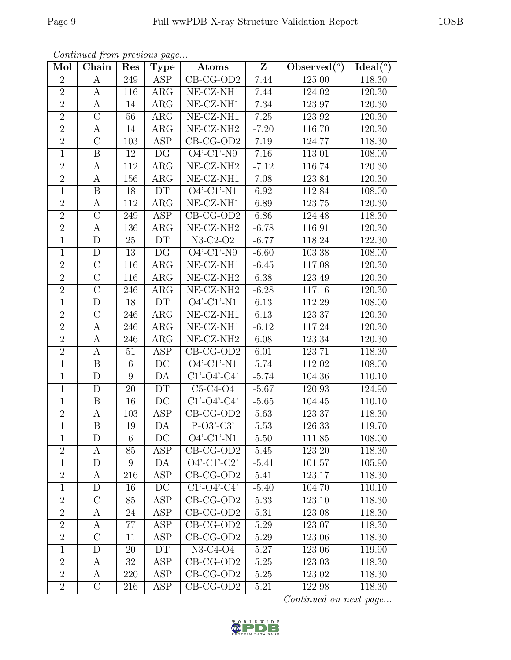| Mol            | Chain            | Res            | Type                     | Atoms                                                 | $\mathbf{Z}$ | Observed $(\overline{\overline{\circ}})$ | Ideal <sup>(o)</sup> |
|----------------|------------------|----------------|--------------------------|-------------------------------------------------------|--------------|------------------------------------------|----------------------|
| $\overline{2}$ | A                | 249            | ASP                      | $CB-CG-OD2$                                           | 7.44         | 125.00                                   | 118.30               |
| $\overline{2}$ | A                | 116            | ARG                      | NE-CZ-NH1                                             | 7.44         | 124.02                                   | 120.30               |
| $\overline{2}$ | A                | 14             | ARG                      | NE-CZ-NH1                                             | 7.34         | 123.97                                   | 120.30               |
| $\overline{2}$ | $\mathcal{C}$    | 56             | ARG                      | NE-CZ-NH1                                             | 7.25         | 123.92                                   | 120.30               |
| $\overline{2}$ | A                | 14             | $\rm{ARG}$               | NE-CZ-NH <sub>2</sub>                                 | $-7.20$      | 116.70                                   | 120.30               |
| $\overline{2}$ | $\mathcal{C}$    | 103            | ASP                      | $CB-CG-OD2$                                           | 7.19         | 124.77                                   | 118.30               |
| $\mathbf{1}$   | B                | 12             | DG                       | $O4'$ -C1'-N9                                         | 7.16         | 113.01                                   | 108.00               |
| $\overline{2}$ | A                | 112            | ARG                      | NE-CZ-NH <sub>2</sub>                                 | $-7.12$      | 116.74                                   | 120.30               |
| $\overline{2}$ | $\boldsymbol{A}$ | 156            | ${\rm ARG}$              | NE-CZ-NH1                                             | 7.08         | 123.84                                   | 120.30               |
| $\overline{1}$ | B                | 18             | <b>DT</b>                | $\overline{O4'-C1'-N1}$                               | 6.92         | 112.84                                   | $\overline{1}08.00$  |
| $\sqrt{2}$     | $\boldsymbol{A}$ | 112            | ARG                      | $NE- CZ-NH1$                                          | 6.89         | 123.75                                   | 120.30               |
| $\overline{2}$ | $\overline{C}$   | 249            | ASP                      | $CB-CG-OD2$                                           | 6.86         | 124.48                                   | 118.30               |
| $\overline{2}$ | A                | 136            | ARG                      | NE-CZ-NH <sub>2</sub>                                 | $-6.78$      | 116.91                                   | 120.30               |
| $1\,$          | D                | 25             | DT                       | $N3-C2-O2$                                            | $-6.77$      | 118.24                                   | 122.30               |
| $\mathbf{1}$   | $\mathbf D$      | 13             | $\overline{\mathrm{DG}}$ | $O4'-Cl'-N9$                                          | $-6.60$      | 103.38                                   | 108.00               |
| $\overline{2}$ | $\mathcal{C}$    | 116            | ARG                      | $NE- CZ-NH1$                                          | $-6.45$      | 117.08                                   | 120.30               |
| $\overline{2}$ | $\overline{C}$   | 116            | ARG                      | NE-CZ-NH <sub>2</sub>                                 | 6.38         | 123.49                                   | 120.30               |
| $\overline{2}$ | $\mathcal{C}$    | 246            | ARG                      | NE-CZ-NH <sub>2</sub>                                 | $-6.28$      | 117.16                                   | 120.30               |
| $\mathbf{1}$   | $\mathbf D$      | 18             | DT                       | $O4'$ -C1'-N1                                         | 6.13         | 112.29                                   | 108.00               |
| $\overline{2}$ | $\overline{C}$   | 246            | $\rm{ARG}$               | NE-CZ-NH1                                             | 6.13         | 123.37                                   | 120.30               |
| $\overline{2}$ | A                | 246            | ARG                      | $NE- CZ-NH1$                                          | $-6.12$      | 117.24                                   | 120.30               |
| $\overline{2}$ | A                | 246            | $\rm{ARG}$               | $\overline{\text{NE- CZ-NH2}}$                        | 6.08         | 123.34                                   | 120.30               |
| $\overline{2}$ | A                | 51             | ASP                      | $CB-CG-OD2$                                           | 6.01         | 123.71                                   | 118.30               |
| $\mathbf{1}$   | $\boldsymbol{B}$ | $6\phantom{.}$ | DC                       | $O4'$ -C1'-N1                                         | 5.74         | 112.02                                   | 108.00               |
| $\mathbf{1}$   | D                | 9              | DA                       | $C1'-O4'-C4'$                                         | $-5.74$      | 104.36                                   | 110.10               |
| $\mathbf{1}$   | D                | 20             | DT                       | $C5-C4-O4$                                            | $-5.67$      | 120.93                                   | 124.90               |
| $\mathbf{1}$   | B                | 16             | $\overline{DC}$          | $C1'-O4'-C4'$                                         | $-5.65$      | 104.45                                   | 110.10               |
| $\overline{2}$ | $\boldsymbol{A}$ | 103            | ASP                      | $CB-CG-OD2$                                           | 5.63         | 123.37                                   | 118.30               |
| $\overline{1}$ | B                | 19             | DA                       | $P-O3'-C3'$                                           | 5.53         | 126.33                                   | 119.70               |
| $\mathbf{1}$   | D                | 6              | $\operatorname{DC}$      | $O4'$ -C1'-N1                                         | 5.50         | 111.85                                   | 108.00               |
| $\overline{2}$ | A                | 85             | ASP                      | $CB-CG-OD2$                                           | 5.45         | 123.20                                   | 118.30               |
| $\mathbf{1}$   | D                | 9              | DA                       | $O4'-Cl'-C2'$                                         | $-5.41$      | 101.57                                   | 105.90               |
| $\overline{2}$ | A                | 216            | <b>ASP</b>               | $CB-CG-OD2$                                           | 5.41         | 123.17                                   | 118.30               |
| $\mathbf{1}$   | D                | 16             | $\overline{DC}$          | $Cl$ <sup>-</sup> $O4$ <sup>-</sup> $Cl$ <sup>*</sup> | $-5.40$      | 104.70                                   | 110.10               |
| $\overline{2}$ | $\mathcal{C}$    | 85             | ASP                      | $CB-CG-OD2$                                           | 5.33         | 123.10                                   | 118.30               |
| $\overline{2}$ | A                | 24             | <b>ASP</b>               | $CB-CG-OD2$                                           | 5.31         | 123.08                                   | 118.30               |
| $\overline{2}$ | A                | 77             | ASP                      | $CB-CG-OD2$                                           | 5.29         | 123.07                                   | 118.30               |
| $\overline{2}$ | $\rm C$          | 11             | ASP                      | $CB-CG-OD2$                                           | 5.29         | 123.06                                   | 118.30               |
| $\mathbf{1}$   | D                | 20             | DT                       | $N3-C4-O4$                                            | 5.27         | 123.06                                   | 119.90               |
| $\overline{2}$ | A                | 32             | ASP                      | $CB-CG-OD2$                                           | 5.25         | 123.03                                   | 118.30               |
| $\overline{2}$ | A                | 220            | ASP                      | $CB-CG-OD2$                                           | 5.25         | 123.02                                   | 118.30               |
| $\overline{2}$ | $\mathcal{C}$    | 216            | ASP                      | $CB-CG-OD2$                                           | 5.21         | 122.98                                   | 118.30               |

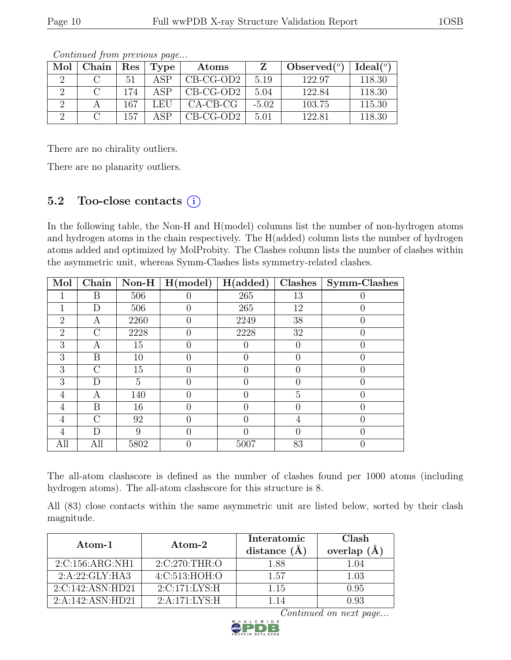| Mol | Chain | Res | Type           | Atoms       |         | Observed $(°)$ | Ideal <sup>(o)</sup> |
|-----|-------|-----|----------------|-------------|---------|----------------|----------------------|
|     |       | 51  | ΔSΡ            | $CB-CG-OD2$ | 5.19    | 122.97         | 118.30               |
|     |       | 174 | ΔSΡ            | $CB-CG-OD2$ | 5.04    | 122.84         | 118.30               |
|     |       | 167 | $\pm$ EL $\pm$ | $CA-CB-CG$  | $-5.02$ | 103.75         | 115.30               |
|     |       | 157 | ΔSΡ            | $CB-CG-OD2$ | 5.01    | 122.81         | 118.30               |

There are no chirality outliers.

There are no planarity outliers.

### 5.2 Too-close contacts  $(i)$

In the following table, the Non-H and H(model) columns list the number of non-hydrogen atoms and hydrogen atoms in the chain respectively. The H(added) column lists the number of hydrogen atoms added and optimized by MolProbity. The Clashes column lists the number of clashes within the asymmetric unit, whereas Symm-Clashes lists symmetry-related clashes.

| Mol            | Chain          | $\bf Non-H$ | H (model)        | H(added)         | Clashes | Symm-Clashes |
|----------------|----------------|-------------|------------------|------------------|---------|--------------|
|                | B              | 506         |                  | 265              | 13      |              |
|                | D              | 506         |                  | 265              | 12      |              |
| $\overline{2}$ | A              | 2260        | $\left( \right)$ | 2249             | 38      |              |
| $\overline{2}$ | $\overline{C}$ | 2228        |                  | 2228             | 32      |              |
| 3              | А              | 15          |                  |                  |         |              |
| 3              | B              | 10          | $\left( \right)$ | $\left( \right)$ |         |              |
| 3              | $\mathcal{C}$  | 15          |                  |                  |         |              |
| 3              | D              | 5           |                  |                  |         |              |
| 4              | A              | 140         | 0                | 0                | 5       |              |
| 4              | B              | 16          |                  | $\mathcal{O}$    |         |              |
| 4              | $\bigcap$      | 92          |                  |                  | 4       |              |
| 4              | D              | 9           | 0                |                  |         |              |
| All            | All            | 5802        |                  | 5007             | 83      |              |

The all-atom clashscore is defined as the number of clashes found per 1000 atoms (including hydrogen atoms). The all-atom clashscore for this structure is 8.

All (83) close contacts within the same asymmetric unit are listed below, sorted by their clash magnitude.

| Atom-1           | $\rm{Atom}\text{-}2$ | Interatomic<br>distance $(\AA)$ | Clash<br>overlap $(A)$ |
|------------------|----------------------|---------------------------------|------------------------|
| 2:C:156:ARG:NH1  | 2:C:270:THR:O        | 1.88                            | 1.04                   |
| 2:A:22:GLY:HA3   | 4: C:513: HOH:O      | 1.57                            | 1.03                   |
| 2:C:142:ASN:HD21 | 2:C:171:LYS:H        | 1.15                            | 0.95                   |
| 2:A:142:ASN:HD21 | 2:A:171:LYS:H        |                                 |                        |

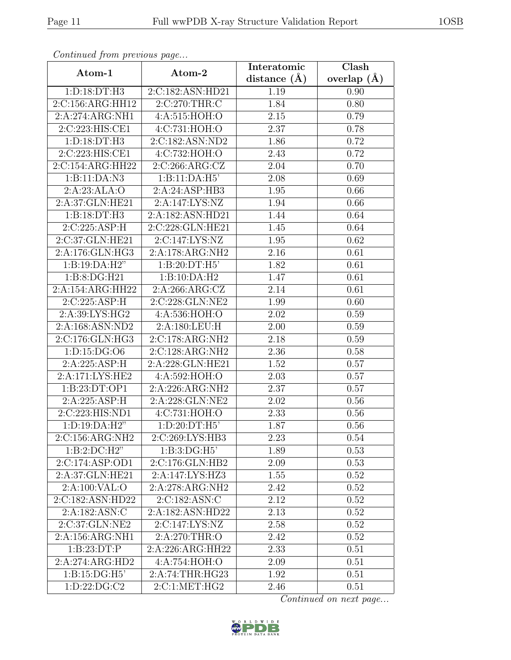| Continuum from protious page |                              | Interatomic       | Clash         |
|------------------------------|------------------------------|-------------------|---------------|
| Atom-1                       | Atom-2                       | distance $(\AA)$  | overlap $(A)$ |
| 1: D: 18: DT: H3             | 2:C:182:ASN:HD21             | 1.19              | 0.90          |
| 2:C:156:ARG:HH12             | 2:C:270:THR:C                | 1.84              | 0.80          |
| 2:A:274:ARG:NH1              | 4: A:515: HOH:O              | 2.15              | 0.79          |
| 2:C:223:HIS:CE1              | 4:C:731:HOH:O                | 2.37              | 0.78          |
| 1: D: 18: DT: H3             | 2:C:182:ASN:ND2              | 1.86              | 0.72          |
| 2:C:223:HIS:CE1              | 4:C:732:HOH:O                | 2.43              | 0.72          |
| 2:C:154:ARG:HH22             | 2:C:266:ARG:CZ               | 2.04              | 0.70          |
| 1:B:11:DA:N3                 | 1:B:11:DA:H5'                | 2.08              | 0.69          |
| 2:A:23:ALA:O                 | 2:A:24:ASP:HB3               | 1.95              | 0.66          |
| 2:A:37:GLN:HE21              | 2:A:147:LYS:NZ               | 1.94              | 0.66          |
| 1:B:18:DT:H3                 | 2:A:182:ASN:HD21             | 1.44              | 0.64          |
| 2:C:225:ASP:H                | 2:C:228:GLN:HE21             | 1.45              | 0.64          |
| 2:C:37:GLN:HE21              | 2:C:147:LYS:NZ               | 1.95              | 0.62          |
| 2:A:176:GLN:HG3              | 2:A:178:ARG:NH2              | 2.16              | 0.61          |
| 1:B:19:DA:H2"                | 1:B:20:DT:H5'                | 1.82              | 0.61          |
| 1:B:8:DG:H21                 | 1:B:10:DA:H2                 | 1.47              | 0.61          |
| 2:A:154:ARG:HH22             | 2:A:266:ARG:CZ               | 2.14              | 0.61          |
| 2:C:225:ASP:H                | 2:C:228:GLN:NE2              | 1.99              | 0.60          |
| 2:A:39:LYS:HG2               | 4:A:536:HOH:O                | 2.02              | 0.59          |
| 2:A:168:ASN:ND2              | 2:A:180:LEU:H                | 2.00              | 0.59          |
| 2:C:176:GLN:HG3              | $2:C:178:AR\overline{G:NH2}$ | 2.18              | 0.59          |
| 1: D: 15: DG: O6             | 2:C:128:ARG:NH2              | 2.36              | 0.58          |
| 2:A:225:ASP:H                | 2:A:228:GLN:HE21             | 1.52              | 0.57          |
| 2:A:171:LYS:HE2              | 4: A:592: HOH:O              | 2.03              | 0.57          |
| 1:B:23:DT:OP1                | 2:A:226:ARG:NH2              | 2.37              | 0.57          |
| 2:A:225:ASP:H                | 2:A:228:GLN:NE2              | $\overline{2}.02$ | 0.56          |
| 2:C:223:HIS:ND1              | 4:C:731:HOH:O                | 2.33              | 0.56          |
| $1: D: 19: \overline{DA:H2"$ | $1: D:20: \overline{DT:H5'}$ | 1.87              | 0.56          |
| 2:C:156:ARG:NH2              | 2:C:269:LYS:HB3              | 2.23              | 0.54          |
| $1:B:2:D\\C:H2"$             | 1:B:3:DG:H5'                 | 1.89              | 0.53          |
| 2:C:174:ASP:OD1              | 2:C:176:GLN:HB2              | 2.09              | 0.53          |
| 2:A:37:GLN:HE21              | 2:A:147:LYS:HZ3              | 1.55              | 0.52          |
| 2:A:100:VAL:O                | 2:A:278:ARG:NH2              | 2.42              | 0.52          |
| 2:C:182:ASN:HD22             | 2:C:182:ASN:C                | 2.12              | 0.52          |
| 2:A:182:ASN:C                | 2:A:182:ASN:HD22             | 2.13              | 0.52          |
| 2:C:37:GLN:NE2               | 2:C:147:LYS:NZ               | 2.58              | 0.52          |
| 2:A:156:ARG:NH1              | 2:A:270:THR:O                | 2.42              | 0.52          |
| 1: B: 23: DT: P              | 2:A:226:ARG:HH22             | 2.33              | 0.51          |
| 2:A:274:ARG:HD2              | 4:A:754:HOH:O                | 2.09              | 0.51          |
| 1: B: 15: DG:H5'             | 2:A:74:THR:HG23              | 1.92              | 0.51          |
| 1: D: 22: DG: C2             | 2:C:1:MET:HG2                | 2.46              | 0.51          |

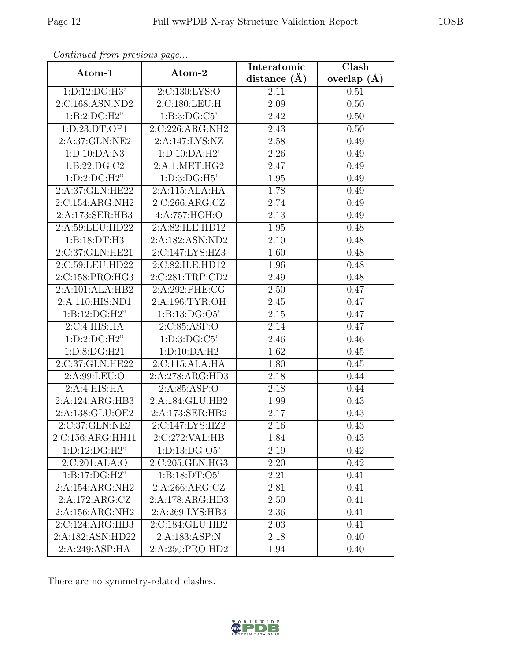| Continueu from pretious page       |                                    | Interatomic    | Clash         |
|------------------------------------|------------------------------------|----------------|---------------|
| Atom-1                             | Atom-2                             | distance $(A)$ | overlap $(A)$ |
| 1:D:12:DG:H3'                      | 2:C:130:LYS:O                      | 2.11           | 0.51          |
| 2:C:168:ASN:ND2                    | 2:C:180:LEU:H                      | 2.09           | 0.50          |
| 1:B:2:DC:H2"                       | 1:B:3:DG:C5'                       | 2.42           | 0.50          |
| 1: D: 23: DT: OP1                  | 2:C:226:ARG:NH2                    | 2.43           | 0.50          |
| 2:A:37:GLN:NE2                     | 2:A:147:LYS:NZ                     | 2.58           | 0.49          |
| 1:D:10:DA:N3                       | 1: D: 10: DA: H2'                  | 2.26           | 0.49          |
| 1: B: 22: DG: C2                   | 2:A:1:MET:HG2                      | 2.47           | 0.49          |
| $1:D:2:D\\C:H2"$                   | 1: D: 3: DG: H5'                   | 1.95           | 0.49          |
| 2:A:37:GLN:HE22                    | 2:A:115:ALA:HA                     | 1.78           | 0.49          |
| 2:C:154:ARG:NH2                    | $2:C:266:\overline{\text{ARG}:CZ}$ | 2.74           | 0.49          |
| 2:A:173:SER:HB3                    | 4:A:757:HOH:O                      | 2.13           | 0.49          |
| 2:A:59:LEU:HD22                    | 2:A:82:ILE:HD12                    | 1.95           | 0.48          |
| 1:B:18:DT:H3                       | 2:A:182:ASN:ND2                    | 2.10           | 0.48          |
| 2:C:37:GLN:HE21                    | $2:C:147:LYS:\overline{HZ3}$       | 1.60           | 0.48          |
| 2:C:59:LEU:HD22                    | 2:C:82:ILE:HD12                    | 1.96           | 0.48          |
| 2:C:158:PRO:HG3                    | 2:C:281:TRP:CD2                    | 2.49           | 0.48          |
| 2:A:101:ALA:HB2                    | 2:A:292:PHE:CG                     | 2.50           | 0.47          |
| 2:A:110:HIS:ND1                    | 2:A:196:TYR:OH                     | 2.45           | 0.47          |
| 1:B:12:DG:H2"                      | 1:B:13:DG:O5'                      | 2.15           | 0.47          |
| 2:C:4:HIS:HA                       | 2:C:85:ASP:O                       | 2.14           | 0.47          |
| 1: D: 2: DC: H2"                   | 1: D: 3: DG: C5'                   | 2.46           | 0.46          |
| $1:D:8:DG:\overline{H21}$          | $1:D:10:D\overline{A:H2}$          | 1.62           | 0.45          |
| 2:C:37:GLN:HE22                    | 2:C:115:ALA:HA                     | 1.80           | 0.45          |
| 2:A:99:LEU:O                       | 2:A:278:ARG:HD3                    | 2.18           | 0.44          |
| 2:A:4:HIS:HA                       | 2:A:85:ASP:O                       | 2.18           | 0.44          |
| 2:A:124:ARG:HB3                    | 2:A:184:GLU:HB2                    | 1.99           | 0.43          |
| 2:A:138:GLU:OE2                    | 2:A:173:SER:HB2                    | 2.17           | 0.43          |
| $2:C:37:\overline{\text{GLN:NE2}}$ | $2:C:147:LYS:\overline{HZ2}$       | 2.16           | 0.43          |
| 2:C:156:ARG:HH11                   | 2:C:272:VAL:HB                     | 1.84           | 0.43          |
| 1: D: 12: DG: H2"                  | 1: D: 13: DG: O5'                  | 2.19           | 0.42          |
| 2:C:201:ALA:O                      | 2:C:205:GLN:HG3                    | 2.20           | 0.42          |
| 1:B:17:DG:H2"                      | 1:B:18:DT:O5'                      | 2.21           | 0.41          |
| 2:A:154:ARG:NH2                    | 2:A:266:ARG:CZ                     | 2.81           | 0.41          |
| 2:A:172:ARG:CZ                     | 2:A:178:ARG:HD3                    | 2.50           | 0.41          |
| 2:A:156:ARG:NH2                    | 2:A:269:LYS:HB3                    | 2.36           | 0.41          |
| 2:C:124:ARG:HB3                    | 2:C:184:GLU:HB2                    | 2.03           | 0.41          |
| 2:A:182:ASN:HD22                   | 2:A:183:ASP:N                      | 2.18           | 0.40          |
| 2:A:249:ASP:HA                     | 2:A:250:PRO:HD2                    | 1.94           | 0.40          |

There are no symmetry-related clashes.

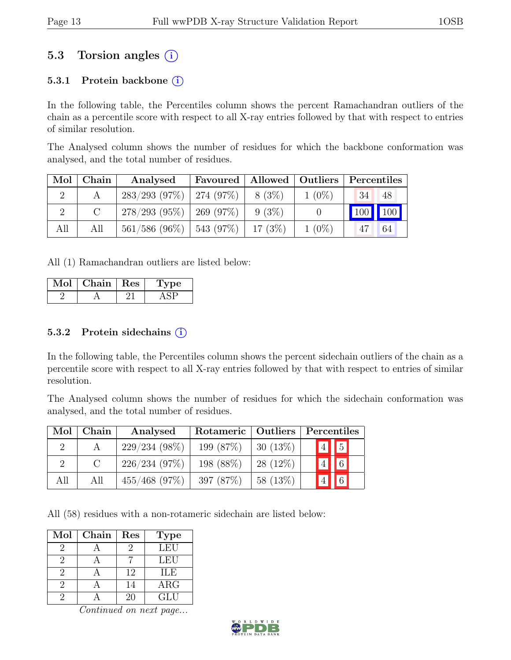### 5.3 Torsion angles (i)

#### 5.3.1 Protein backbone  $(i)$

In the following table, the Percentiles column shows the percent Ramachandran outliers of the chain as a percentile score with respect to all X-ray entries followed by that with respect to entries of similar resolution.

The Analysed column shows the number of residues for which the backbone conformation was analysed, and the total number of residues.

| Mol | ${\bf Chain}$ | Analysed                                 | Favoured   Allowed   Outliers |          |          | Percentiles |    |
|-----|---------------|------------------------------------------|-------------------------------|----------|----------|-------------|----|
|     |               | $283/293$ (97\%)   274 (97\%)   8 (3\%)  |                               |          | $1(0\%)$ | $\sqrt{34}$ | 48 |
|     | $\mathcal{C}$ | $278/293$ (95\%)   269 (97\%)            |                               | $9(3\%)$ |          | 100 100     |    |
| All | All           | $561/586 (96\%)$   543 (97\%)   17 (3\%) |                               |          | $1(0\%)$ |             | 64 |

All (1) Ramachandran outliers are listed below:

| Chain | <b>Res</b> | рe |
|-------|------------|----|
|       |            |    |

#### 5.3.2 Protein sidechains (i)

In the following table, the Percentiles column shows the percent sidechain outliers of the chain as a percentile score with respect to all X-ray entries followed by that with respect to entries of similar resolution.

The Analysed column shows the number of residues for which the sidechain conformation was analysed, and the total number of residues.

| Mol | Chain                       | Analysed        | Rotameric   Outliers |            | Percentiles                   |
|-----|-----------------------------|-----------------|----------------------|------------|-------------------------------|
|     |                             | $229/234(98\%)$ | 199 (87%)            | $30(13\%)$ | $\vert 4 \vert \vert 5 \vert$ |
|     | $\mathcal{C}_{\mathcal{C}}$ | 226/234(97%)    | 198 (88%)            | $28(12\%)$ | $\sqrt{6}$                    |
| All | All                         | $455/468$ (97%) | 397 $(87%)$          | 58 (13\%)  | $\sqrt{6}$                    |

All (58) residues with a non-rotameric sidechain are listed below:

| Mol           | Chain | Res | <b>Type</b> |
|---------------|-------|-----|-------------|
| '2            |       |     | LEU         |
| 9             |       |     | LEU         |
| $\mathcal{D}$ |       | 12  | <b>ILE</b>  |
|               |       | 14  | $\rm{ARG}$  |
|               |       | 20  | GLU         |

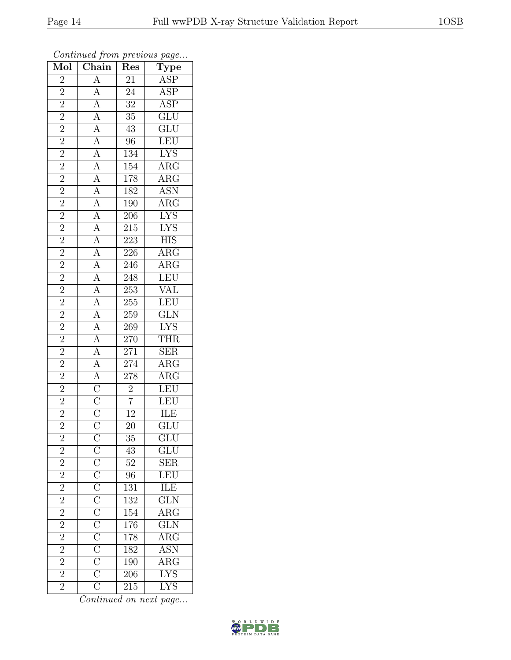| Mol                                                               | $\overline{\text{Chain}}$                                                                                                                                                                                                                                                                                                                                                                                                                                                                  | Res                          | $F \sim \mathcal{F}$<br>$\overline{\text{Type}}$ |
|-------------------------------------------------------------------|--------------------------------------------------------------------------------------------------------------------------------------------------------------------------------------------------------------------------------------------------------------------------------------------------------------------------------------------------------------------------------------------------------------------------------------------------------------------------------------------|------------------------------|--------------------------------------------------|
| $\overline{2}$                                                    |                                                                                                                                                                                                                                                                                                                                                                                                                                                                                            | 21                           | $\overline{\text{ASP}}$                          |
|                                                                   |                                                                                                                                                                                                                                                                                                                                                                                                                                                                                            | $\overline{24}$              | $\overline{\text{ASP}}$                          |
| $\frac{2}{2}$                                                     |                                                                                                                                                                                                                                                                                                                                                                                                                                                                                            | $\overline{32}$              | $\frac{\rm ASP}{\rm GLU}$                        |
| $\overline{2}$                                                    |                                                                                                                                                                                                                                                                                                                                                                                                                                                                                            | $\overline{35}$              |                                                  |
| $\overline{2}$                                                    |                                                                                                                                                                                                                                                                                                                                                                                                                                                                                            | $\overline{43}$              | GLU<br>LEU<br>LYS<br>ARG                         |
| $\overline{2}$                                                    |                                                                                                                                                                                                                                                                                                                                                                                                                                                                                            | 96                           |                                                  |
|                                                                   |                                                                                                                                                                                                                                                                                                                                                                                                                                                                                            | 134                          |                                                  |
| $\frac{\boxed{2}}{2}$ $\frac{\boxed{2}}{2}$ $\frac{\boxed{2}}{2}$ |                                                                                                                                                                                                                                                                                                                                                                                                                                                                                            | $\overline{154}$             |                                                  |
|                                                                   |                                                                                                                                                                                                                                                                                                                                                                                                                                                                                            | 178                          | $\overline{\text{ARG}}$                          |
|                                                                   |                                                                                                                                                                                                                                                                                                                                                                                                                                                                                            | 182                          | <b>ASN</b>                                       |
|                                                                   |                                                                                                                                                                                                                                                                                                                                                                                                                                                                                            | $190\,$                      | $\frac{\overline{\text{ARG}}}{\text{LYS}}$       |
|                                                                   |                                                                                                                                                                                                                                                                                                                                                                                                                                                                                            | $\overline{206}$             |                                                  |
| $\frac{2}{2}$                                                     |                                                                                                                                                                                                                                                                                                                                                                                                                                                                                            | $215\,$                      | <b>LYS</b>                                       |
|                                                                   |                                                                                                                                                                                                                                                                                                                                                                                                                                                                                            | $\overline{223}$             | $\overline{\text{HIS}}$                          |
| $\overline{2}$                                                    | $\frac{\frac{1}{\mathbf{A}} \frac{\mathbf{A}}{\mathbf{A}} \frac{\mathbf{A}}{\mathbf{A}} \frac{\mathbf{A}}{\mathbf{A}} \frac{\mathbf{A}}{\mathbf{A}} \frac{\mathbf{A}}{\mathbf{A}} \frac{\mathbf{A}}{\mathbf{A}} \frac{\mathbf{A}}{\mathbf{A}} \frac{\mathbf{A}}{\mathbf{A}} \frac{\mathbf{A}}{\mathbf{A}} \frac{\mathbf{A}}{\mathbf{A}} \frac{\mathbf{A}}{\mathbf{A}} \frac{\mathbf{A}}{\mathbf{A}} \frac{\mathbf{A}}{\mathbf{A}} \frac{\mathbf{A}}{\mathbf{A}} \frac{\mathbf{A}}{\mathbf$ | $\frac{226}{ }$              | $\overline{\text{ARG}}$                          |
| $\overline{2}$                                                    |                                                                                                                                                                                                                                                                                                                                                                                                                                                                                            | 246                          | $\overline{\text{ARG}}$                          |
| $\overline{2}$                                                    |                                                                                                                                                                                                                                                                                                                                                                                                                                                                                            | 248                          |                                                  |
| $\overline{2}$                                                    |                                                                                                                                                                                                                                                                                                                                                                                                                                                                                            | 253                          | $\frac{\text{LEU}}{\text{VAL}}$                  |
| $\overline{2}$                                                    |                                                                                                                                                                                                                                                                                                                                                                                                                                                                                            | $\overline{255}$             | LEU                                              |
| $\overline{2}$                                                    |                                                                                                                                                                                                                                                                                                                                                                                                                                                                                            | 259                          | $\underline{\text{GLN}}$                         |
| $\frac{2}{2}$                                                     |                                                                                                                                                                                                                                                                                                                                                                                                                                                                                            | <b>269</b>                   | $\frac{LYS}{L}$                                  |
|                                                                   |                                                                                                                                                                                                                                                                                                                                                                                                                                                                                            | 270                          | <b>THR</b>                                       |
| $\overline{2}$                                                    |                                                                                                                                                                                                                                                                                                                                                                                                                                                                                            | 271                          | $\overline{\text{SER}}$                          |
| $\overline{2}$                                                    |                                                                                                                                                                                                                                                                                                                                                                                                                                                                                            |                              | $\overline{\text{ARG}}$                          |
| $\overline{2}$                                                    |                                                                                                                                                                                                                                                                                                                                                                                                                                                                                            | $\frac{274}{278}$            | ARG<br>LEU<br>LEU                                |
|                                                                   |                                                                                                                                                                                                                                                                                                                                                                                                                                                                                            |                              |                                                  |
| $\frac{\sqrt{2}}{2}$ $\frac{\sqrt{2}}{2}$                         |                                                                                                                                                                                                                                                                                                                                                                                                                                                                                            | $\frac{2}{7}$ $\frac{7}{12}$ |                                                  |
|                                                                   |                                                                                                                                                                                                                                                                                                                                                                                                                                                                                            |                              | ILE                                              |
|                                                                   |                                                                                                                                                                                                                                                                                                                                                                                                                                                                                            | $\overline{20}$              | $\overline{\text{GLU}}$                          |
|                                                                   |                                                                                                                                                                                                                                                                                                                                                                                                                                                                                            | 35                           | GLU                                              |
| $\frac{2}{2}$ $\frac{2}{2}$                                       |                                                                                                                                                                                                                                                                                                                                                                                                                                                                                            | 43                           | $\overline{\text{GLU}}$                          |
|                                                                   |                                                                                                                                                                                                                                                                                                                                                                                                                                                                                            | 52                           |                                                  |
|                                                                   |                                                                                                                                                                                                                                                                                                                                                                                                                                                                                            | $\overline{96}$              | $\frac{\text{SER}}{\text{LEU}}$                  |
| $\overline{2}$                                                    |                                                                                                                                                                                                                                                                                                                                                                                                                                                                                            | $\overline{131}$             | $\frac{1}{100}$ THE                              |
| $\overline{2}$                                                    |                                                                                                                                                                                                                                                                                                                                                                                                                                                                                            | 132                          |                                                  |
| $\overline{2}$                                                    |                                                                                                                                                                                                                                                                                                                                                                                                                                                                                            | 154                          | $\frac{\overbrace{\text{ARG}}}{\text{GLN}}$      |
| $\overline{2}$                                                    |                                                                                                                                                                                                                                                                                                                                                                                                                                                                                            | 176                          |                                                  |
| $\overline{2}$                                                    |                                                                                                                                                                                                                                                                                                                                                                                                                                                                                            | 178                          | $\overline{\text{ARG}}$                          |
| $\overline{2}$                                                    |                                                                                                                                                                                                                                                                                                                                                                                                                                                                                            | 182                          | ASN                                              |
| $\frac{2}{2}$                                                     |                                                                                                                                                                                                                                                                                                                                                                                                                                                                                            | $190\,$                      | $\overline{\text{ARG}}$                          |
|                                                                   | $\frac{\overline{C}}{\overline{C}}\frac{\overline{C}}{\overline{C}}\frac{\overline{C}}{\overline{C}}\frac{\overline{C}}{\overline{C}}\frac{\overline{C}}{\overline{C}}\frac{\overline{C}}{\overline{C}}\frac{\overline{C}}{\overline{C}}$                                                                                                                                                                                                                                                  | $\overline{206}$             | <b>LYS</b>                                       |
| $\overline{2}$                                                    |                                                                                                                                                                                                                                                                                                                                                                                                                                                                                            | $\overline{2}15$             | <b>LYS</b>                                       |

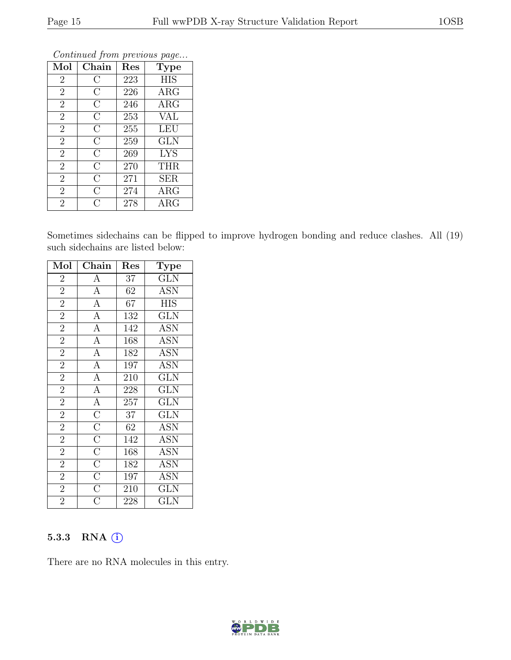| Mol            | Chain              | Res | <b>Type</b> |
|----------------|--------------------|-----|-------------|
| $\overline{2}$ | С                  | 223 | <b>HIS</b>  |
| $\overline{2}$ | $\rm C$            | 226 | $\rm{ARG}$  |
| $\overline{2}$ | $\overline{C}$     | 246 | $\rm{ARG}$  |
| $\overline{2}$ | $\overline{C}$     | 253 | <b>VAL</b>  |
| $\overline{2}$ | $\overline{\rm C}$ | 255 | <b>LEU</b>  |
| $\overline{2}$ | $\overline{C}$     | 259 | <b>GLN</b>  |
| $\overline{2}$ | $\overline{C}$     | 269 | <b>LYS</b>  |
| $\overline{2}$ | $\overline{C}$     | 270 | <b>THR</b>  |
| $\overline{2}$ | $\overline{C}$     | 271 | <b>SER</b>  |
| $\overline{2}$ | $\overline{C}$     | 274 | ARG         |
| $\overline{2}$ | C                  | 278 | $\rm{ARG}$  |

Sometimes sidechains can be flipped to improve hydrogen bonding and reduce clashes. All (19) such sidechains are listed below:

| Mol            | Chain                                                                                                                          | Res              | Type                    |
|----------------|--------------------------------------------------------------------------------------------------------------------------------|------------------|-------------------------|
| $\overline{2}$ | $\overline{A}$                                                                                                                 | 37               | <b>GLN</b>              |
| $\overline{2}$ | $\overline{A}$                                                                                                                 | 62               | <b>ASN</b>              |
| $\overline{2}$ | $\overline{A}$                                                                                                                 | 67               | <b>HIS</b>              |
| $\overline{2}$ | $\overline{A}$                                                                                                                 | 132              | <b>GLN</b>              |
| $\overline{2}$ | $\overline{A}$                                                                                                                 | 142              | <b>ASN</b>              |
| $\overline{2}$ | $\overline{A}$                                                                                                                 | 168              | <b>ASN</b>              |
| $\overline{2}$ | $\overline{A}$                                                                                                                 | 182              | <b>ASN</b>              |
| $\overline{2}$ | $\overline{A}$                                                                                                                 | $\overline{197}$ | $\overline{\text{ASN}}$ |
| $\overline{2}$ | $\frac{\overline{A}}{\overline{A}}$                                                                                            | 210              | $\overline{\text{GLN}}$ |
| $\overline{2}$ |                                                                                                                                | 228              | $\overline{\text{GLN}}$ |
| $\overline{2}$ |                                                                                                                                | 257              | <b>GLN</b>              |
| $\overline{2}$ |                                                                                                                                | 37               | GLN                     |
| $\overline{2}$ |                                                                                                                                | 62               | $\text{ASN}$            |
| $\overline{2}$ |                                                                                                                                | 142              | ASN                     |
| $\overline{2}$ |                                                                                                                                | 168              | <b>ASN</b>              |
| $\overline{2}$ | $\overline{A}\ \overline{C}\ \overline{C}\ \overline{C}\ \overline{C}\ \overline{C}\ \overline{C}\ \overline{C}\ \overline{C}$ | 182              | <b>ASN</b>              |
| $\overline{2}$ |                                                                                                                                | 197              | <b>ASN</b>              |
| $\overline{2}$ |                                                                                                                                | 210              | GLN                     |
| $\overline{2}$ | $\overline{\overline{\rm C}}$                                                                                                  | 228              | $_{\rm GLN}$            |

#### 5.3.3 RNA (i)

There are no RNA molecules in this entry.

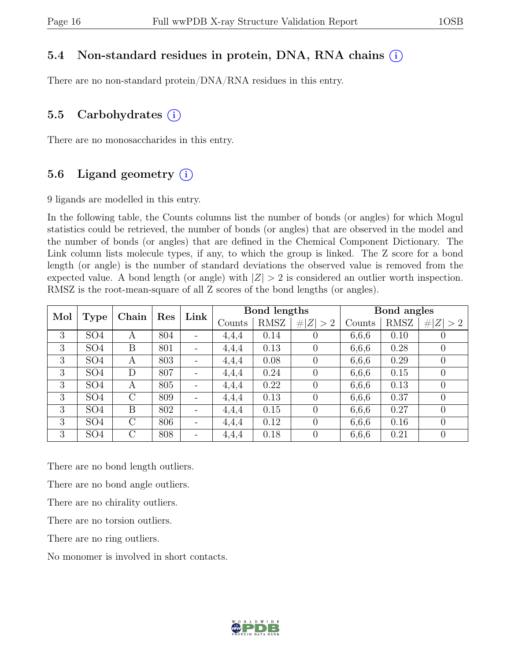#### 5.4 Non-standard residues in protein, DNA, RNA chains (i)

There are no non-standard protein/DNA/RNA residues in this entry.

#### 5.5 Carbohydrates  $(i)$

There are no monosaccharides in this entry.

### 5.6 Ligand geometry  $(i)$

9 ligands are modelled in this entry.

In the following table, the Counts columns list the number of bonds (or angles) for which Mogul statistics could be retrieved, the number of bonds (or angles) that are observed in the model and the number of bonds (or angles) that are defined in the Chemical Component Dictionary. The Link column lists molecule types, if any, to which the group is linked. The Z score for a bond length (or angle) is the number of standard deviations the observed value is removed from the expected value. A bond length (or angle) with  $|Z| > 2$  is considered an outlier worth inspection. RMSZ is the root-mean-square of all Z scores of the bond lengths (or angles).

| Mol | Type            | Chain          | Res | Link                     | Bond lengths |      |                | Bond angles |      |                |
|-----|-----------------|----------------|-----|--------------------------|--------------|------|----------------|-------------|------|----------------|
|     |                 |                |     |                          | Counts       | RMSZ | Z   > 2        | Counts      | RMSZ | Z  > 2         |
| 3   | SO <sub>4</sub> | A              | 804 | Ξ.                       | 4,4,4        | 0.14 | 0              | 6,6,6       | 0.10 | $\theta$       |
| 3   | SO <sub>4</sub> | B              | 801 | $\overline{\phantom{a}}$ | 4,4,4        | 0.13 | $\theta$       | 6,6,6       | 0.28 | $\theta$       |
| 3   | SO <sub>4</sub> | A              | 803 | Ξ.                       | 4,4,4        | 0.08 | $\theta$       | 6,6,6       | 0.29 | $\overline{0}$ |
| 3   | SO <sub>4</sub> | D              | 807 | $\qquad \qquad -$        | 4,4,4        | 0.24 | $\overline{0}$ | 6,6,6       | 0.15 | $\overline{0}$ |
| 3   | SO <sub>4</sub> | A              | 805 | $\overline{\phantom{a}}$ | 4,4,4        | 0.22 | 0              | 6,6,6       | 0.13 | 0              |
| 3   | SO <sub>4</sub> | $\overline{C}$ | 809 | $\overline{\phantom{a}}$ | 4,4,4        | 0.13 | 0              | 6,6,6       | 0.37 | $\overline{0}$ |
| 3   | SO <sub>4</sub> | B              | 802 | $\overline{\phantom{a}}$ | 4,4,4        | 0.15 | $\Omega$       | 6,6,6       | 0.27 | $\overline{0}$ |
| 3   | SO <sub>4</sub> | $\rm C$        | 806 | $\overline{\phantom{a}}$ | 4,4,4        | 0.12 | $\Omega$       | 6,6,6       | 0.16 | $\overline{0}$ |
| 3   | SO <sub>4</sub> | $\rm C$        | 808 | Ξ.                       | 4,4,4        | 0.18 | 0              | 6,6,6       | 0.21 | 0              |

There are no bond length outliers.

There are no bond angle outliers.

There are no chirality outliers.

There are no torsion outliers.

There are no ring outliers.

No monomer is involved in short contacts.

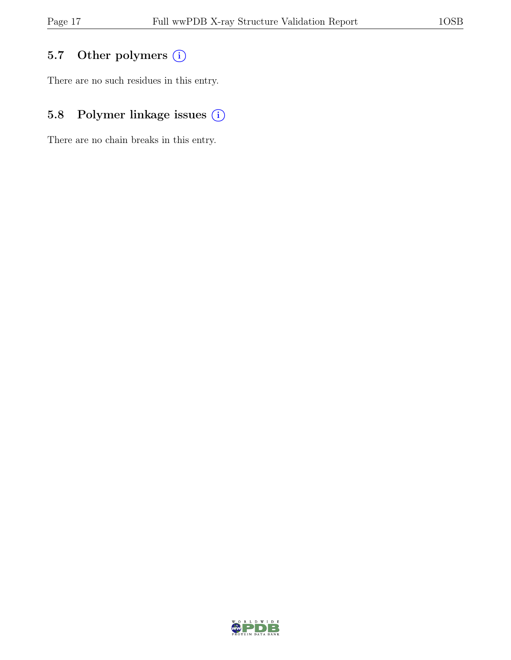### 5.7 Other polymers (i)

There are no such residues in this entry.

### 5.8 Polymer linkage issues (i)

There are no chain breaks in this entry.